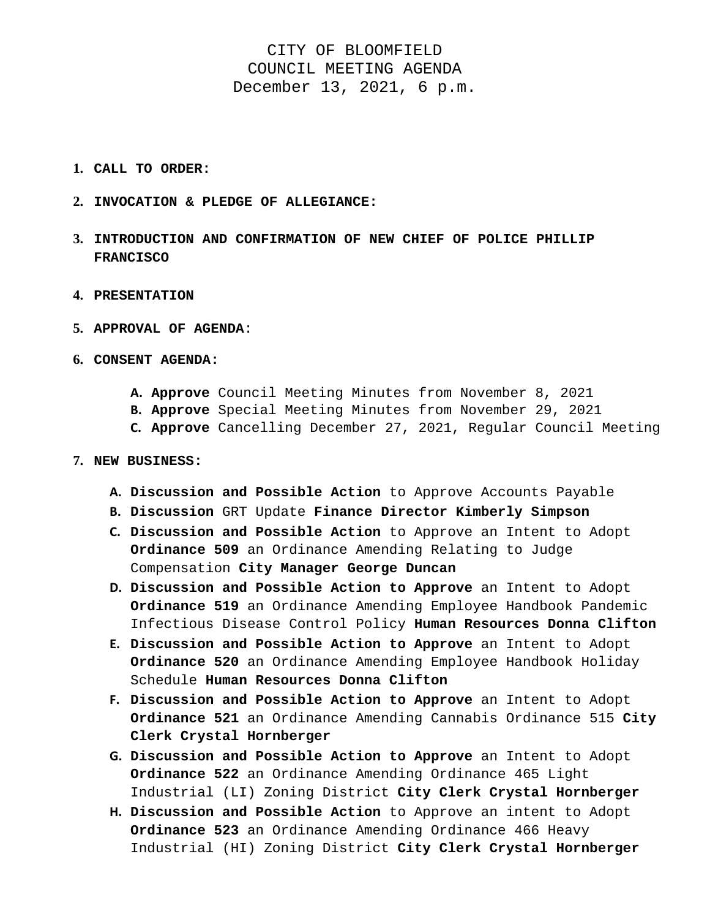## CITY OF BLOOMFIELD COUNCIL MEETING AGENDA December 13, 2021, 6 p.m.

- **1. CALL TO ORDER:**
- **2. INVOCATION & PLEDGE OF ALLEGIANCE:**
- **3. INTRODUCTION AND CONFIRMATION OF NEW CHIEF OF POLICE PHILLIP FRANCISCO**
- **4. PRESENTATION**
- **5. APPROVAL OF AGENDA**:
- **6. CONSENT AGENDA:** 
	- **A. Approve** Council Meeting Minutes from November 8, 2021
	- **B. Approve** Special Meeting Minutes from November 29, 2021
	- **C. Approve** Cancelling December 27, 2021, Regular Council Meeting

## **7. NEW BUSINESS:**

- **A. Discussion and Possible Action** to Approve Accounts Payable
- **B. Discussion** GRT Update **Finance Director Kimberly Simpson**
- **C. Discussion and Possible Action** to Approve an Intent to Adopt **Ordinance 509** an Ordinance Amending Relating to Judge Compensation **City Manager George Duncan**
- **D. Discussion and Possible Action to Approve** an Intent to Adopt **Ordinance 519** an Ordinance Amending Employee Handbook Pandemic Infectious Disease Control Policy **Human Resources Donna Clifton**
- **E. Discussion and Possible Action to Approve** an Intent to Adopt **Ordinance 520** an Ordinance Amending Employee Handbook Holiday Schedule **Human Resources Donna Clifton**
- **F. Discussion and Possible Action to Approve** an Intent to Adopt **Ordinance 521** an Ordinance Amending Cannabis Ordinance 515 **City Clerk Crystal Hornberger**
- **G. Discussion and Possible Action to Approve** an Intent to Adopt **Ordinance 522** an Ordinance Amending Ordinance 465 Light Industrial (LI) Zoning District **City Clerk Crystal Hornberger**
- **H. Discussion and Possible Action** to Approve an intent to Adopt **Ordinance 523** an Ordinance Amending Ordinance 466 Heavy Industrial (HI) Zoning District **City Clerk Crystal Hornberger**